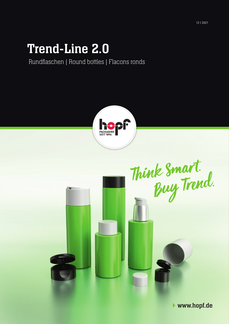# Trend-Line 2.0

Rundflaschen | Round bottles | Flacons ronds



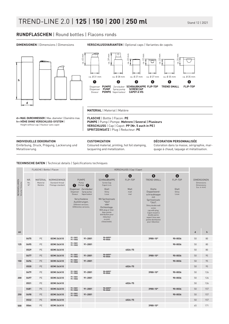### **RUNDFLASCHEN** | Round bottles | Flacons ronds



**DIMENSIONEN** | Dimensions | Dimensions **VERSCHLUSSVARIANTEN** | Optional caps | Variantes de capots



Einfärbung, Druck, Prägung, Lackierung und Metallisierung.

Coloured material, printing, hot foil stamping, lacquering and metallization.

Coloration dans la masse, sérigraphie, marquage à chaud, laquage et métallisation.

**TECHNISCHE DATEN** | Technical details | Spécifications techniques

|                                | FLASCHE   Bottle   Flacon |                                        |                                                     | VERSCHLUSS   Cap   Capot |                                                                                                                                                                                   |                                                                                                                                                                                                                                               |                                      |                                                                                                                                                                                                                                                                        |                                          |                                                                             |              |
|--------------------------------|---------------------------|----------------------------------------|-----------------------------------------------------|--------------------------|-----------------------------------------------------------------------------------------------------------------------------------------------------------------------------------|-----------------------------------------------------------------------------------------------------------------------------------------------------------------------------------------------------------------------------------------------|--------------------------------------|------------------------------------------------------------------------------------------------------------------------------------------------------------------------------------------------------------------------------------------------------------------------|------------------------------------------|-----------------------------------------------------------------------------|--------------|
| NENNVOLUMEN<br>Volume   Volume | NR.<br>No.<br>$N^{\circ}$ | <b>MATERIAL</b><br>Material<br>Matière | NORMGEWINDE<br>Standard thread<br>Filetage standard | 0<br>Dispenser<br>Doseur | <b>PUMPE</b><br>Pump<br>Pompe<br>$\bullet$<br>Dispenser Zerstäuber<br>Spray pump<br>Vaporisateur<br>Verschiedene<br>Ausführungen.<br>Different versions.<br>Différentes versions. | ❸<br><b>SCHRAUBKAPPE</b><br>Screw Cap<br>Capot à vis<br>Glatt<br>Shiny<br>Lisse<br>Mit Spritzeinsatz<br>$*3447$<br>oder<br>Dichteinlage.<br>With plug or liner.<br>Avec pointe<br>distribution pour<br>réducteur<br>ou joint<br>d'étanchéité. | ❹<br>FLIP-TOP<br>Matt<br>matt<br>mat | $\mathbf \Theta$<br><b>TREND SMALL</b><br>Glatte<br>Doppelwand-<br>schraubkappe<br>mit<br>Spritzeinsatz<br>$*3447.$<br>Shiny double wall<br>screw<br>cap with plug.<br>Capot vissant à<br>double parois<br>aspect lisse avec<br>pointe distribution<br>pour réducteur. | G<br>FLIP-TOP<br>Glatt<br>Shiny<br>Lisse | <b>DIMENSIONEN</b><br><b>Dimensions</b><br><b>Dimensions</b><br>(ca. in mm) |              |
| ml                             |                           |                                        |                                                     |                          |                                                                                                                                                                                   |                                                                                                                                                                                                                                               |                                      |                                                                                                                                                                                                                                                                        |                                          | $\mathsf d$                                                                 | $\mathsf{h}$ |
| 125                            | 0475                      | PE                                     | GCMI 24/410                                         | 91-1001<br>91-1002       | 91-2001                                                                                                                                                                           | 90-0059*<br>90-0060                                                                                                                                                                                                                           |                                      | 3980-10*                                                                                                                                                                                                                                                               | 90-0036                                  | 50                                                                          | 80           |
|                                | 0495                      | PE                                     | GCMI 24/410                                         | 91-1001<br>91-1002       | 91-2001                                                                                                                                                                           |                                                                                                                                                                                                                                               |                                      |                                                                                                                                                                                                                                                                        | 90-0036                                  | 50                                                                          | 80           |
|                                | 0529                      | PE                                     | GCMI 24/410                                         |                          |                                                                                                                                                                                   |                                                                                                                                                                                                                                               | 4024-75                              |                                                                                                                                                                                                                                                                        |                                          | 50                                                                          | 80           |
| 150                            | 0477                      | PE                                     | GCMI 24/410                                         | 91-1001<br>91-1002       | 91-2001                                                                                                                                                                           | 90-0059*<br>90-0060                                                                                                                                                                                                                           |                                      | 3980-10*                                                                                                                                                                                                                                                               | 90-0036                                  | 50                                                                          | 95           |
|                                | 0496                      | PE                                     | GCMI 24/410                                         | 91-1001<br>91-1002       | 91-2001                                                                                                                                                                           |                                                                                                                                                                                                                                               |                                      |                                                                                                                                                                                                                                                                        | 90-0036                                  | 50                                                                          | 95           |
|                                | 0530                      | PE                                     | GCMI 24/410                                         |                          |                                                                                                                                                                                   |                                                                                                                                                                                                                                               | 4024-75                              |                                                                                                                                                                                                                                                                        |                                          | 50                                                                          | 95           |
| 200                            | 0479                      | PE                                     | GCMI 24/410                                         | 91-1001<br>91-1002       | 91-2001                                                                                                                                                                           | 90-0059*<br>90-0060                                                                                                                                                                                                                           |                                      | 3980-10*                                                                                                                                                                                                                                                               | 90-0036                                  | 50                                                                          | 126          |
|                                | 0497                      | PE                                     | GCMI 24/410                                         | 91-1001<br>91-1002       | 91-2001                                                                                                                                                                           |                                                                                                                                                                                                                                               |                                      |                                                                                                                                                                                                                                                                        | 90-0036                                  | 50                                                                          | 126          |
|                                | 0531                      | PE                                     | GCMI 24/410                                         |                          |                                                                                                                                                                                   |                                                                                                                                                                                                                                               | 4024-75                              |                                                                                                                                                                                                                                                                        |                                          | 50                                                                          | 126          |
| 250                            | 0481                      | PE                                     | GCMI 24/410                                         | 91-1001<br>91-1002       | 91-2001                                                                                                                                                                           | 90-0059*<br>90-0060                                                                                                                                                                                                                           |                                      | 3980-10*                                                                                                                                                                                                                                                               | 90-0036                                  | 50                                                                          | 157          |
|                                | 0498                      | PE                                     | GCMI 24/410                                         | 91-1001<br>91-1002       | 91-2001                                                                                                                                                                           |                                                                                                                                                                                                                                               |                                      |                                                                                                                                                                                                                                                                        | 90-0036                                  | 50                                                                          | 157          |
|                                | 0532                      | PE                                     | GCMI 24/410                                         |                          |                                                                                                                                                                                   |                                                                                                                                                                                                                                               | 4024-75                              |                                                                                                                                                                                                                                                                        |                                          | 50                                                                          | 157          |
| 500                            | 0064                      | PE                                     | GCMI 24/410                                         |                          |                                                                                                                                                                                   |                                                                                                                                                                                                                                               |                                      | 3980-10*                                                                                                                                                                                                                                                               |                                          | 65                                                                          | 171          |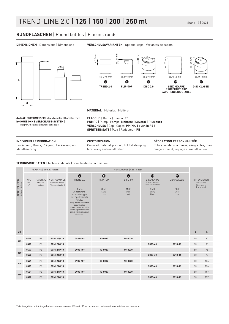# TREND-LINE 2.0 | **125** | **150** | **200** | **250 ml** Stand 12 | 2021

### **RUNDFLASCHEN** | Round bottles | Flacons ronds

**DIMENSIONEN** | Dimensions | Dimensions **VERSCHLUSSVARIANTEN** | Optional caps | Variantes de capots



Einfärbung, Druck, Prägung, Lackierung und Metallisierung.

Coloured material, printing, hot foil stamping, lacquering and metallization.

Coloration dans la masse, sérigraphie, marquage à chaud, laquage et métallisation.

### **TECHNISCHE DATEN** | Technical details | Spécifications techniques

|                                      | FLASCHE   Bottle   Flacon                                           |    |                                                     | VERSCHLUSS   Cap   Capot                                                                                                                                                                                            |                         |                                |                                                                          |                                   |                                                                                                                            |     |  |
|--------------------------------------|---------------------------------------------------------------------|----|-----------------------------------------------------|---------------------------------------------------------------------------------------------------------------------------------------------------------------------------------------------------------------------|-------------------------|--------------------------------|--------------------------------------------------------------------------|-----------------------------------|----------------------------------------------------------------------------------------------------------------------------|-----|--|
|                                      | NR.<br><b>MATERIAL</b><br>No.<br>Material<br>$N^{\circ}$<br>Matière |    | NORMGEWINDE<br>Standard thread<br>Filetage standard | $\bullet$<br>TREND 2.0                                                                                                                                                                                              | $\bullet$<br>FLIP-TOP   | $\mathbf 0$<br><b>DISC 2.0</b> | $\bf \Phi$<br><b>STECKKAPPE</b><br>Protective cap<br>Capot encliquetable | $\bf \Phi$<br><b>DISC CLASSIC</b> | <b>DIMENSIONEN</b><br><b>Dimensions</b><br><b>Dimensions</b><br>(ca. in mm)<br>$\operatorname{\mathsf{d}}$<br>$\mathsf{h}$ |     |  |
| NENNVOLUMEN<br>Volume   Volume<br>ml |                                                                     |    |                                                     | Glatte<br>Doppelwand-<br>schraubkappe<br>mit Spritzeinsatz<br>$*3447.$<br>Shiny double wall screw<br>cap with plug.<br>Capot vissant à double<br>parois aspect lisse avec<br>pointe distribution pour<br>réducteur. | Glatt<br>Shiny<br>Lisse | Matt<br>matt<br>mat            | Glatt<br>Shiny<br>Lisse                                                  | Glatt<br>Shiny<br>Lisse           |                                                                                                                            |     |  |
| 125                                  | 0475                                                                | PE | GCMI 24/410                                         | 3986-10*                                                                                                                                                                                                            | 90-0037                 | 90-0030                        |                                                                          |                                   | 50                                                                                                                         | 80  |  |
|                                      | 0495                                                                | PE | GCMI 24/410                                         |                                                                                                                                                                                                                     |                         |                                | 3833-40                                                                  | 3918-16                           | 50                                                                                                                         | 80  |  |
| 150                                  | 0477                                                                | PE | GCMI 24/410                                         | 3986-10*                                                                                                                                                                                                            | 90-0037                 | 90-0030                        |                                                                          |                                   | 50                                                                                                                         | 95  |  |
|                                      | 0496                                                                | PE | GCMI 24/410                                         |                                                                                                                                                                                                                     |                         |                                | 3833-40                                                                  | 3918-16                           | 50                                                                                                                         | 95  |  |
| 200                                  | 0479                                                                | PE | GCMI 24/410                                         | 3986-10*                                                                                                                                                                                                            | 90-0037                 | 90-0030                        |                                                                          |                                   | 50                                                                                                                         | 126 |  |
|                                      | 0497                                                                | PE | GCMI 24/410                                         |                                                                                                                                                                                                                     |                         |                                | 3833-40                                                                  | 3918-16                           | 50                                                                                                                         | 126 |  |
| 250                                  | 0481                                                                | PE | GCMI 24/410                                         | 3986-10*                                                                                                                                                                                                            | 90-0037                 | 90-0030                        |                                                                          |                                   | 50                                                                                                                         | 157 |  |
|                                      | 0498                                                                | PE | GCMI 24/410                                         |                                                                                                                                                                                                                     |                         |                                | 3833-40                                                                  | 3918-16                           | 50                                                                                                                         | 157 |  |